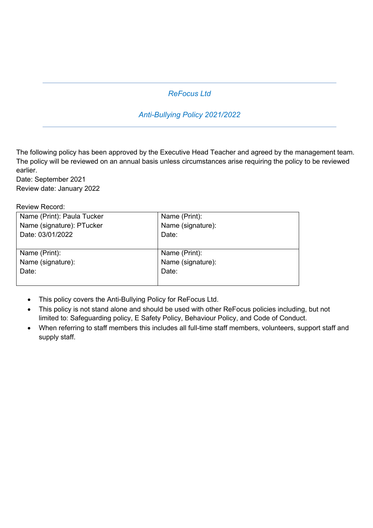# *ReFocus Ltd*

# *Anti-Bullying Policy 2021/2022*

The following policy has been approved by the Executive Head Teacher and agreed by the management team. The policy will be reviewed on an annual basis unless circumstances arise requiring the policy to be reviewed earlier.

Date: September 2021 Review date: January 2022

Review Record:

| Name (Print): Paula Tucker | Name (Print):     |
|----------------------------|-------------------|
| Name (signature): PTucker  | Name (signature): |
| Date: 03/01/2022           | Date:             |
|                            |                   |
| Name (Print):              | Name (Print):     |
| Name (signature):          | Name (signature): |
| Date:                      | Date:             |
|                            |                   |

- This policy covers the Anti-Bullying Policy for ReFocus Ltd.
- This policy is not stand alone and should be used with other ReFocus policies including, but not limited to: Safeguarding policy, E Safety Policy, Behaviour Policy, and Code of Conduct.
- When referring to staff members this includes all full-time staff members, volunteers, support staff and supply staff.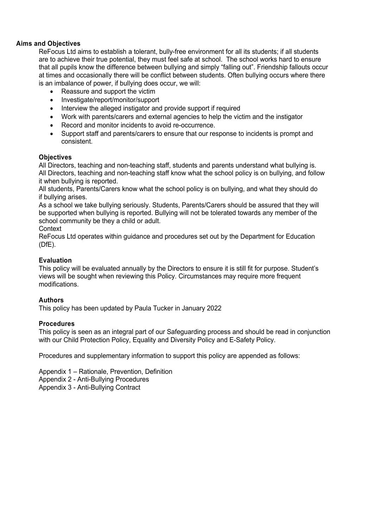## **Aims and Objectives**

ReFocus Ltd aims to establish a tolerant, bully-free environment for all its students; if all students are to achieve their true potential, they must feel safe at school. The school works hard to ensure that all pupils know the difference between bullying and simply "falling out". Friendship fallouts occur at times and occasionally there will be conflict between students. Often bullying occurs where there is an imbalance of power, if bullying does occur, we will:

- Reassure and support the victim
- Investigate/report/monitor/support
- Interview the alleged instigator and provide support if required
- Work with parents/carers and external agencies to help the victim and the instigator
- Record and monitor incidents to avoid re-occurrence.
- Support staff and parents/carers to ensure that our response to incidents is prompt and consistent.

#### **Objectives**

All Directors, teaching and non-teaching staff, students and parents understand what bullying is. All Directors, teaching and non-teaching staff know what the school policy is on bullying, and follow it when bullying is reported.

All students, Parents/Carers know what the school policy is on bullying, and what they should do if bullying arises.

As a school we take bullying seriously. Students, Parents/Carers should be assured that they will be supported when bullying is reported. Bullying will not be tolerated towards any member of the school community be they a child or adult.

#### **Context**

ReFocus Ltd operates within guidance and procedures set out by the Department for Education (DfE).

#### **Evaluation**

This policy will be evaluated annually by the Directors to ensure it is still fit for purpose. Student's views will be sought when reviewing this Policy. Circumstances may require more frequent modifications.

#### **Authors**

This policy has been updated by Paula Tucker in January 2022

#### **Procedures**

This policy is seen as an integral part of our Safeguarding process and should be read in conjunction with our Child Protection Policy, Equality and Diversity Policy and E-Safety Policy.

Procedures and supplementary information to support this policy are appended as follows:

Appendix 1 – Rationale, Prevention, Definition Appendix 2 - Anti-Bullying Procedures Appendix 3 - Anti-Bullying Contract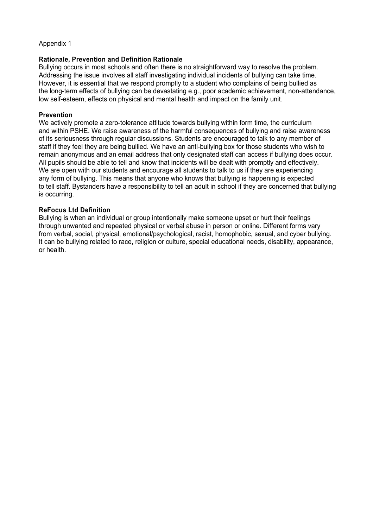#### Appendix 1

#### **Rationale, Prevention and Definition Rationale**

Bullying occurs in most schools and often there is no straightforward way to resolve the problem. Addressing the issue involves all staff investigating individual incidents of bullying can take time. However, it is essential that we respond promptly to a student who complains of being bullied as the long-term effects of bullying can be devastating e.g., poor academic achievement, non-attendance, low self-esteem, effects on physical and mental health and impact on the family unit.

#### **Prevention**

We actively promote a zero-tolerance attitude towards bullying within form time, the curriculum and within PSHE. We raise awareness of the harmful consequences of bullying and raise awareness of its seriousness through regular discussions. Students are encouraged to talk to any member of staff if they feel they are being bullied. We have an anti-bullying box for those students who wish to remain anonymous and an email address that only designated staff can access if bullying does occur. All pupils should be able to tell and know that incidents will be dealt with promptly and effectively. We are open with our students and encourage all students to talk to us if they are experiencing any form of bullying. This means that anyone who knows that bullying is happening is expected to tell staff. Bystanders have a responsibility to tell an adult in school if they are concerned that bullying is occurring.

#### **ReFocus Ltd Definition**

Bullying is when an individual or group intentionally make someone upset or hurt their feelings through unwanted and repeated physical or verbal abuse in person or online. Different forms vary from verbal, social, physical, emotional/psychological, racist, homophobic, sexual, and cyber bullying. It can be bullying related to race, religion or culture, special educational needs, disability, appearance, or health.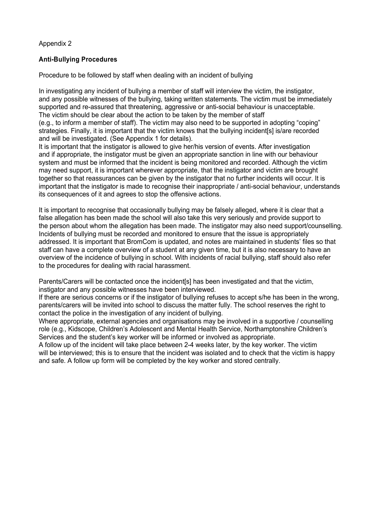## Appendix 2

## **Anti-Bullying Procedures**

Procedure to be followed by staff when dealing with an incident of bullying

In investigating any incident of bullying a member of staff will interview the victim, the instigator, and any possible witnesses of the bullying, taking written statements. The victim must be immediately supported and re-assured that threatening, aggressive or anti-social behaviour is unacceptable. The victim should be clear about the action to be taken by the member of staff (e.g., to inform a member of staff). The victim may also need to be supported in adopting "coping" strategies. Finally, it is important that the victim knows that the bullying incident[s] is/are recorded and will be investigated. (See Appendix 1 for details).

It is important that the instigator is allowed to give her/his version of events. After investigation and if appropriate, the instigator must be given an appropriate sanction in line with our behaviour system and must be informed that the incident is being monitored and recorded. Although the victim may need support, it is important wherever appropriate, that the instigator and victim are brought together so that reassurances can be given by the instigator that no further incidents will occur. It is important that the instigator is made to recognise their inappropriate / anti-social behaviour, understands its consequences of it and agrees to stop the offensive actions.

It is important to recognise that occasionally bullying may be falsely alleged, where it is clear that a false allegation has been made the school will also take this very seriously and provide support to the person about whom the allegation has been made. The instigator may also need support/counselling. Incidents of bullying must be recorded and monitored to ensure that the issue is appropriately addressed. It is important that BromCom is updated, and notes are maintained in students' files so that staff can have a complete overview of a student at any given time, but it is also necessary to have an overview of the incidence of bullying in school. With incidents of racial bullying, staff should also refer to the procedures for dealing with racial harassment.

Parents/Carers will be contacted once the incident[s] has been investigated and that the victim, instigator and any possible witnesses have been interviewed.

If there are serious concerns or if the instigator of bullying refuses to accept s/he has been in the wrong, parents/carers will be invited into school to discuss the matter fully. The school reserves the right to contact the police in the investigation of any incident of bullying.

Where appropriate, external agencies and organisations may be involved in a supportive / counselling role (e.g., Kidscope, Children's Adolescent and Mental Health Service, Northamptonshire Children's Services and the student's key worker will be informed or involved as appropriate.

A follow up of the incident will take place between 2-4 weeks later, by the key worker. The victim will be interviewed; this is to ensure that the incident was isolated and to check that the victim is happy and safe. A follow up form will be completed by the key worker and stored centrally.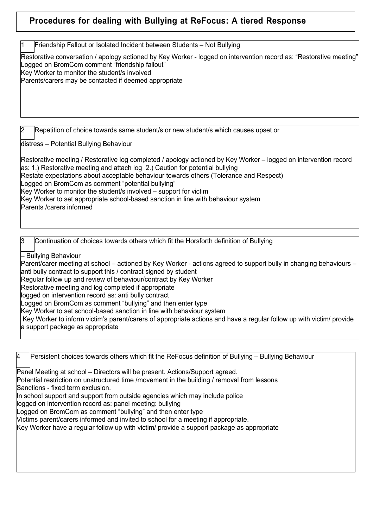# **Procedures for dealing with Bullying at ReFocus: A tiered Response**

1 Friendship Fallout or Isolated Incident between Students – Not Bullying

Restorative conversation / apology actioned by Key Worker - logged on intervention record as: "Restorative meeting" Logged on BromCom comment "friendship fallout" Key Worker to monitor the student/s involved Parents/carers may be contacted if deemed appropriate

2 Repetition of choice towards same student/s or new student/s which causes upset or

distress – Potential Bullying Behaviour

Restorative meeting / Restorative log completed / apology actioned by Key Worker – logged on intervention record as: 1.) Restorative meeting and attach log 2.) Caution for potential bullying Restate expectations about acceptable behaviour towards others (Tolerance and Respect) Logged on BromCom as comment "potential bullying" Key Worker to monitor the student/s involved – support for victim Key Worker to set appropriate school-based sanction in line with behaviour system Parents /carers informed

3 Continuation of choices towards others which fit the Horsforth definition of Bullying

– Bullying Behaviour

Parent/carer meeting at school – actioned by Key Worker - actions agreed to support bully in changing behaviours – anti bully contract to support this / contract signed by student

Regular follow up and review of behaviour/contract by Key Worker

Restorative meeting and log completed if appropriate

logged on intervention record as: anti bully contract

Logged on BromCom as comment "bullying" and then enter type

Key Worker to set school-based sanction in line with behaviour system

Key Worker to inform victim's parent/carers of appropriate actions and have a regular follow up with victim/ provide a support package as appropriate

4 Persistent choices towards others which fit the ReFocus definition of Bullying – Bullying Behaviour Panel Meeting at school – Directors will be present. Actions/Support agreed. Potential restriction on unstructured time /movement in the building / removal from lessons Sanctions - fixed term exclusion. In school support and support from outside agencies which may include police logged on intervention record as: panel meeting: bullying Logged on BromCom as comment "bullying" and then enter type Victims parent/carers informed and invited to school for a meeting if appropriate. Key Worker have a regular follow up with victim/ provide a support package as appropriate